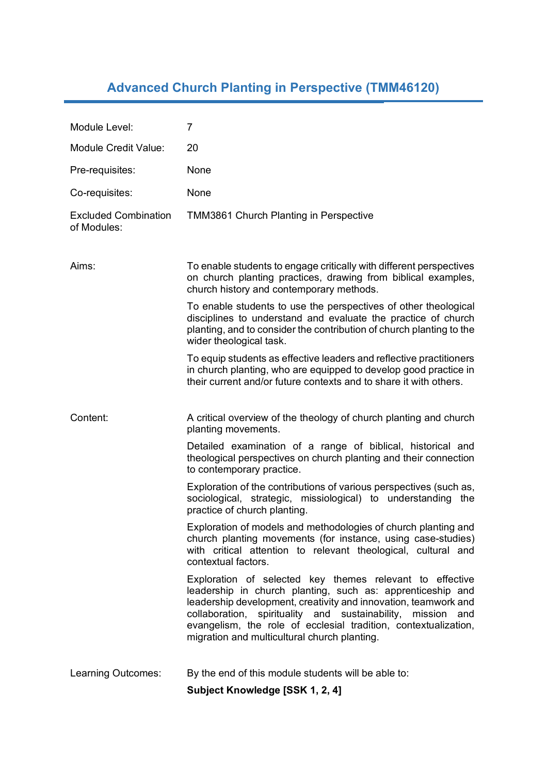## **Advanced Church Planting in Perspective (TMM46120)**

| Module Level:                              | 7                                                                                                                                                                                                                                                                                                                                                                           |
|--------------------------------------------|-----------------------------------------------------------------------------------------------------------------------------------------------------------------------------------------------------------------------------------------------------------------------------------------------------------------------------------------------------------------------------|
| <b>Module Credit Value:</b>                | 20                                                                                                                                                                                                                                                                                                                                                                          |
| Pre-requisites:                            | None                                                                                                                                                                                                                                                                                                                                                                        |
| Co-requisites:                             | None                                                                                                                                                                                                                                                                                                                                                                        |
| <b>Excluded Combination</b><br>of Modules: | <b>TMM3861 Church Planting in Perspective</b>                                                                                                                                                                                                                                                                                                                               |
| Aims:                                      | To enable students to engage critically with different perspectives<br>on church planting practices, drawing from biblical examples,<br>church history and contemporary methods.                                                                                                                                                                                            |
|                                            | To enable students to use the perspectives of other theological<br>disciplines to understand and evaluate the practice of church<br>planting, and to consider the contribution of church planting to the<br>wider theological task.                                                                                                                                         |
|                                            | To equip students as effective leaders and reflective practitioners<br>in church planting, who are equipped to develop good practice in<br>their current and/or future contexts and to share it with others.                                                                                                                                                                |
|                                            |                                                                                                                                                                                                                                                                                                                                                                             |
| Content:                                   | A critical overview of the theology of church planting and church<br>planting movements.                                                                                                                                                                                                                                                                                    |
|                                            | Detailed examination of a range of biblical, historical and<br>theological perspectives on church planting and their connection<br>to contemporary practice.                                                                                                                                                                                                                |
|                                            | Exploration of the contributions of various perspectives (such as,<br>sociological, strategic, missiological) to understanding the<br>practice of church planting.                                                                                                                                                                                                          |
|                                            | Exploration of models and methodologies of church planting and<br>church planting movements (for instance, using case-studies)<br>with critical attention to relevant theological, cultural and<br>contextual factors.                                                                                                                                                      |
|                                            | Exploration of selected key themes relevant to effective<br>leadership in church planting, such as: apprenticeship and<br>leadership development, creativity and innovation, teamwork and<br>collaboration, spirituality and sustainability, mission and<br>evangelism, the role of ecclesial tradition, contextualization,<br>migration and multicultural church planting. |
| Learning Outcomes:                         | By the end of this module students will be able to:                                                                                                                                                                                                                                                                                                                         |